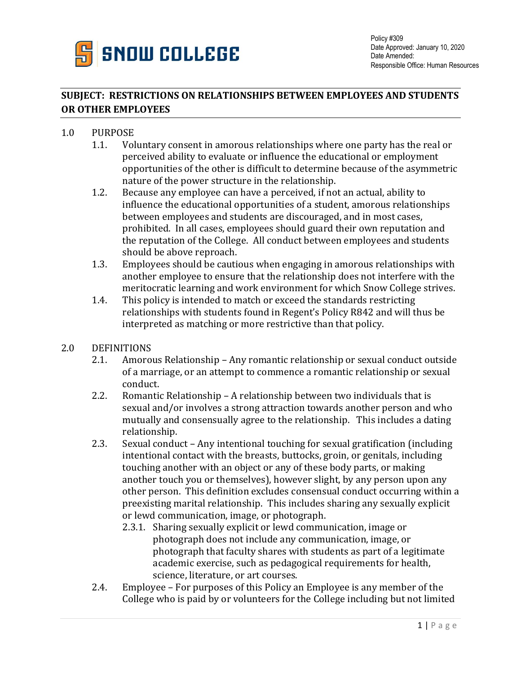

## **SUBJECT: RESTRICTIONS ON RELATIONSHIPS BETWEEN EMPLOYEES AND STUDENTS OR OTHER EMPLOYEES**

## 1.0 PURPOSE

- 1.1. Voluntary consent in amorous relationships where one party has the real or perceived ability to evaluate or influence the educational or employment opportunities of the other is difficult to determine because of the asymmetric nature of the power structure in the relationship.
- 1.2. Because any employee can have a perceived, if not an actual, ability to influence the educational opportunities of a student, amorous relationships between employees and students are discouraged, and in most cases, prohibited. In all cases, employees should guard their own reputation and the reputation of the College. All conduct between employees and students should be above reproach.
- 1.3. Employees should be cautious when engaging in amorous relationships with another employee to ensure that the relationship does not interfere with the meritocratic learning and work environment for which Snow College strives.
- 1.4. This policy is intended to match or exceed the standards restricting relationships with students found in Regent's Policy R842 and will thus be interpreted as matching or more restrictive than that policy.
- 2.0 DEFINITIONS
	- 2.1. Amorous Relationship Any romantic relationship or sexual conduct outside of a marriage, or an attempt to commence a romantic relationship or sexual conduct.
	- 2.2. Romantic Relationship A relationship between two individuals that is sexual and/or involves a strong attraction towards another person and who mutually and consensually agree to the relationship. This includes a dating relationship.
	- 2.3. Sexual conduct Any intentional touching for sexual gratification (including intentional contact with the breasts, buttocks, groin, or genitals, including touching another with an object or any of these body parts, or making another touch you or themselves), however slight, by any person upon any other person. This definition excludes consensual conduct occurring within a preexisting marital relationship. This includes sharing any sexually explicit or lewd communication, image, or photograph.
		- 2.3.1. Sharing sexually explicit or lewd communication, image or photograph does not include any communication, image, or photograph that faculty shares with students as part of a legitimate academic exercise, such as pedagogical requirements for health, science, literature, or art courses.
	- 2.4. Employee For purposes of this Policy an Employee is any member of the College who is paid by or volunteers for the College including but not limited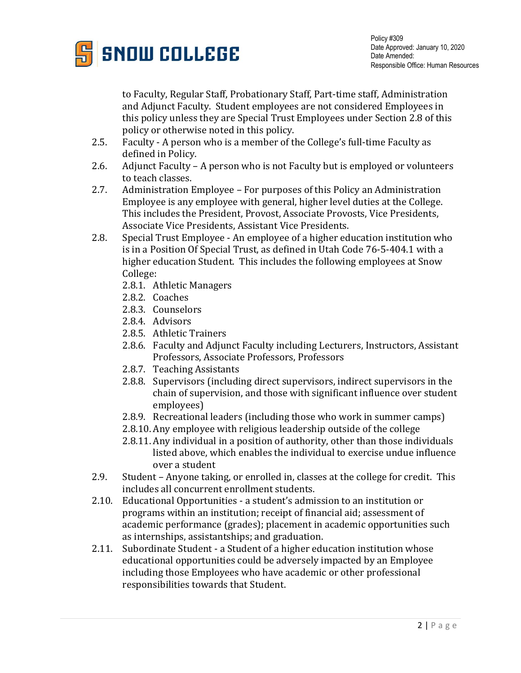

to Faculty, Regular Staff, Probationary Staff, Part-time staff, Administration and Adjunct Faculty. Student employees are not considered Employees in this policy unless they are Special Trust Employees under Section 2.8 of this policy or otherwise noted in this policy.

- 2.5. Faculty A person who is a member of the College's full-time Faculty as defined in Policy.
- 2.6. Adjunct Faculty A person who is not Faculty but is employed or volunteers to teach classes.
- 2.7. Administration Employee For purposes of this Policy an Administration Employee is any employee with general, higher level duties at the College. This includes the President, Provost, Associate Provosts, Vice Presidents, Associate Vice Presidents, Assistant Vice Presidents.
- 2.8. Special Trust Employee An employee of a higher education institution who is in a Position Of Special Trust, as defined in Utah Code 76-5-404.1 with a higher education Student. This includes the following employees at Snow College:
	- 2.8.1. Athletic Managers
	- 2.8.2. Coaches
	- 2.8.3. Counselors
	- 2.8.4. Advisors
	- 2.8.5. Athletic Trainers
	- 2.8.6. Faculty and Adjunct Faculty including Lecturers, Instructors, Assistant Professors, Associate Professors, Professors
	- 2.8.7. Teaching Assistants
	- 2.8.8. Supervisors (including direct supervisors, indirect supervisors in the chain of supervision, and those with significant influence over student employees)
	- 2.8.9. Recreational leaders (including those who work in summer camps)
	- 2.8.10. Any employee with religious leadership outside of the college
	- 2.8.11. Any individual in a position of authority, other than those individuals listed above, which enables the individual to exercise undue influence over a student
- 2.9. Student Anyone taking, or enrolled in, classes at the college for credit. This includes all concurrent enrollment students.
- 2.10. Educational Opportunities a student's admission to an institution or programs within an institution; receipt of financial aid; assessment of academic performance (grades); placement in academic opportunities such as internships, assistantships; and graduation.
- 2.11. Subordinate Student a Student of a higher education institution whose educational opportunities could be adversely impacted by an Employee including those Employees who have academic or other professional responsibilities towards that Student.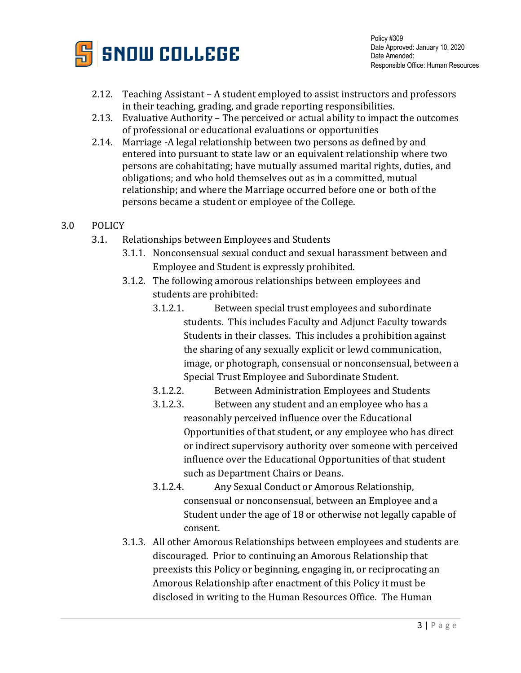

Policy #309 Date Approved: January 10, 2020 Date Amended: Responsible Office: Human Resources

- 2.12. Teaching Assistant A student employed to assist instructors and professors in their teaching, grading, and grade reporting responsibilities.
- 2.13. Evaluative Authority The perceived or actual ability to impact the outcomes of professional or educational evaluations or opportunities
- 2.14. Marriage -A legal relationship between two persons as defined by and entered into pursuant to state law or an equivalent relationship where two persons are cohabitating; have mutually assumed marital rights, duties, and obligations; and who hold themselves out as in a committed, mutual relationship; and where the Marriage occurred before one or both of the persons became a student or employee of the College.
- 3.0 POLICY
	- 3.1. Relationships between Employees and Students
		- 3.1.1. Nonconsensual sexual conduct and sexual harassment between and Employee and Student is expressly prohibited.
		- 3.1.2. The following amorous relationships between employees and students are prohibited:
			- 3.1.2.1. Between special trust employees and subordinate students. This includes Faculty and Adjunct Faculty towards Students in their classes. This includes a prohibition against the sharing of any sexually explicit or lewd communication, image, or photograph, consensual or nonconsensual, between a Special Trust Employee and Subordinate Student.
			- 3.1.2.2. Between Administration Employees and Students
			- 3.1.2.3. Between any student and an employee who has a reasonably perceived influence over the Educational Opportunities of that student, or any employee who has direct or indirect supervisory authority over someone with perceived influence over the Educational Opportunities of that student such as Department Chairs or Deans.
			- 3.1.2.4. Any Sexual Conduct or Amorous Relationship, consensual or nonconsensual, between an Employee and a Student under the age of 18 or otherwise not legally capable of consent.
		- 3.1.3. All other Amorous Relationships between employees and students are discouraged. Prior to continuing an Amorous Relationship that preexists this Policy or beginning, engaging in, or reciprocating an Amorous Relationship after enactment of this Policy it must be disclosed in writing to the Human Resources Office. The Human